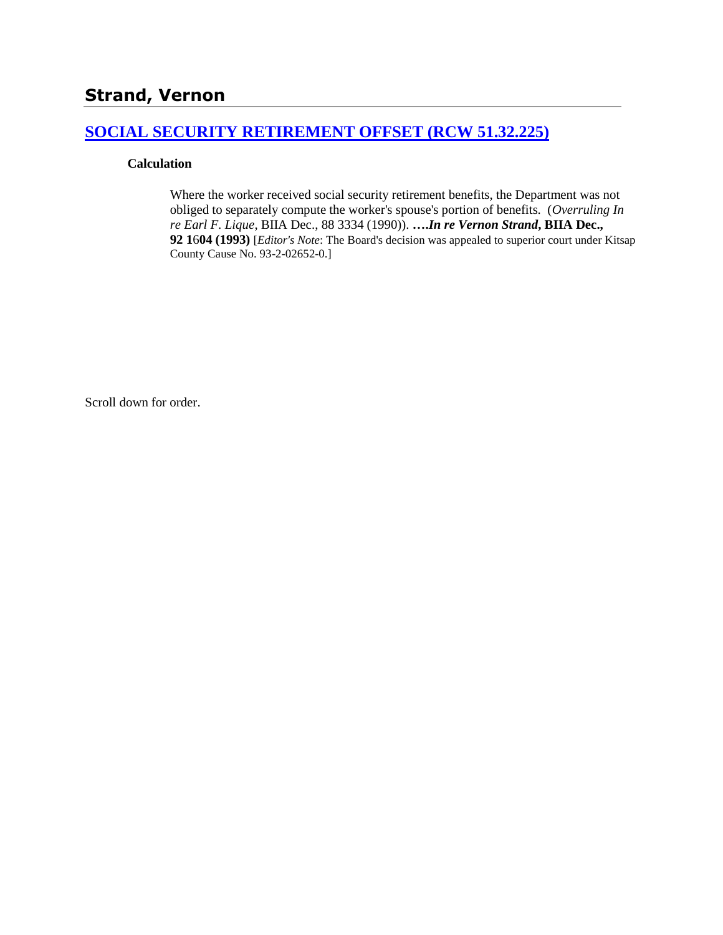## **[SOCIAL SECURITY RETIREMENT OFFSET \(RCW 51.32.225\)](http://www.biia.wa.gov/SDSubjectIndex.html#SOCIAL_SECURITY_DISABILITY_OFFSET)**

### **Calculation**

Where the worker received social security retirement benefits, the Department was not obliged to separately compute the worker's spouse's portion of benefits. (*Overruling In re Earl F. Lique*, BIIA Dec., [88 3334](http://www.biia.wa.gov/significantdecisions/883334.htm) (1990)). **….***In re Vernon Strand***, BIIA Dec., 92 1**6**04 (1993)** [*Editor's Note*: The Board's decision was appealed to superior court under Kitsap County Cause No. 93-2-02652-0.]

Scroll down for order.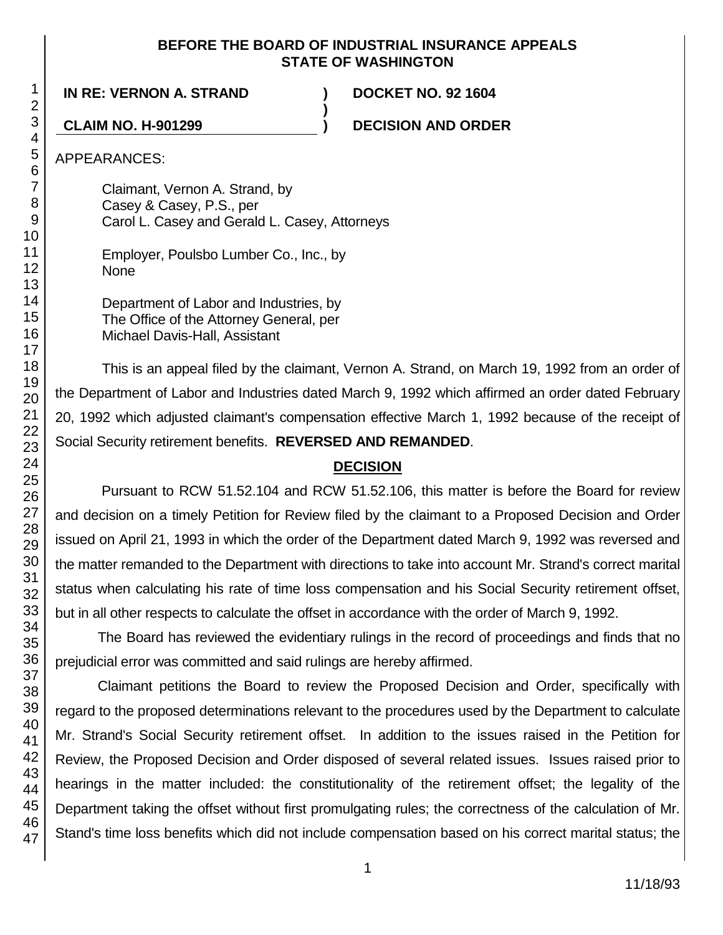### **BEFORE THE BOARD OF INDUSTRIAL INSURANCE APPEALS STATE OF WASHINGTON**

**)**

## **IN RE: VERNON A. STRAND ) DOCKET NO. 92 1604**

**CLAIM NO. H-901299 ) DECISION AND ORDER**

APPEARANCES:

Claimant, Vernon A. Strand, by Casey & Casey, P.S., per Carol L. Casey and Gerald L. Casey, Attorneys

Employer, Poulsbo Lumber Co., Inc., by None

Department of Labor and Industries, by The Office of the Attorney General, per Michael Davis-Hall, Assistant

This is an appeal filed by the claimant, Vernon A. Strand, on March 19, 1992 from an order of the Department of Labor and Industries dated March 9, 1992 which affirmed an order dated February 20, 1992 which adjusted claimant's compensation effective March 1, 1992 because of the receipt of Social Security retirement benefits. **REVERSED AND REMANDED**.

# **DECISION**

Pursuant to RCW 51.52.104 and RCW 51.52.106, this matter is before the Board for review and decision on a timely Petition for Review filed by the claimant to a Proposed Decision and Order issued on April 21, 1993 in which the order of the Department dated March 9, 1992 was reversed and the matter remanded to the Department with directions to take into account Mr. Strand's correct marital status when calculating his rate of time loss compensation and his Social Security retirement offset, but in all other respects to calculate the offset in accordance with the order of March 9, 1992.

The Board has reviewed the evidentiary rulings in the record of proceedings and finds that no prejudicial error was committed and said rulings are hereby affirmed.

Claimant petitions the Board to review the Proposed Decision and Order, specifically with regard to the proposed determinations relevant to the procedures used by the Department to calculate Mr. Strand's Social Security retirement offset. In addition to the issues raised in the Petition for Review, the Proposed Decision and Order disposed of several related issues. Issues raised prior to hearings in the matter included: the constitutionality of the retirement offset; the legality of the Department taking the offset without first promulgating rules; the correctness of the calculation of Mr. Stand's time loss benefits which did not include compensation based on his correct marital status; the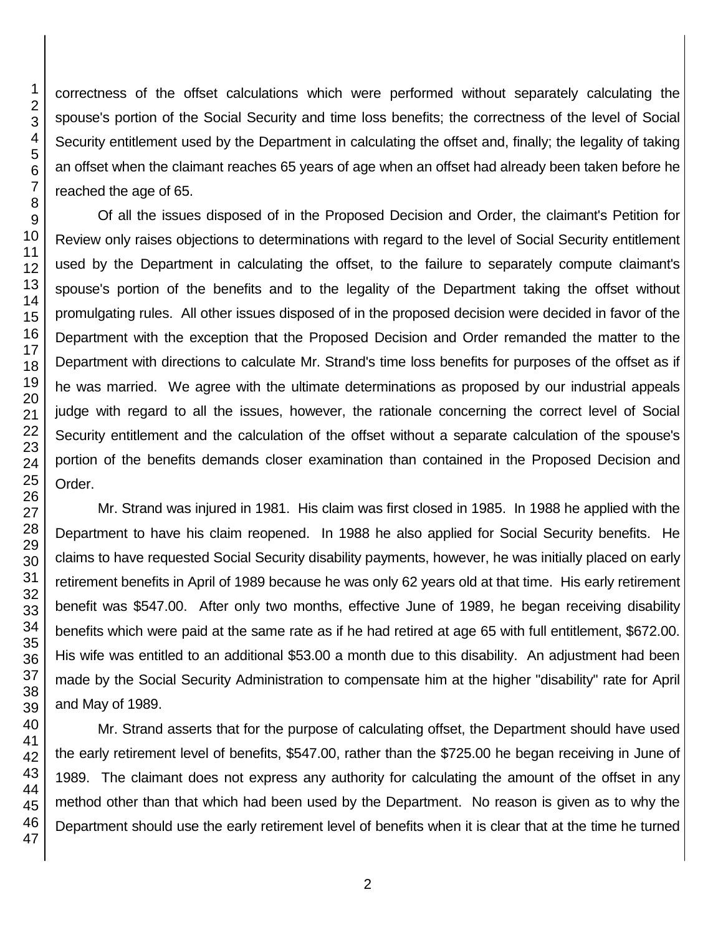correctness of the offset calculations which were performed without separately calculating the spouse's portion of the Social Security and time loss benefits; the correctness of the level of Social Security entitlement used by the Department in calculating the offset and, finally; the legality of taking an offset when the claimant reaches 65 years of age when an offset had already been taken before he reached the age of 65.

Of all the issues disposed of in the Proposed Decision and Order, the claimant's Petition for Review only raises objections to determinations with regard to the level of Social Security entitlement used by the Department in calculating the offset, to the failure to separately compute claimant's spouse's portion of the benefits and to the legality of the Department taking the offset without promulgating rules. All other issues disposed of in the proposed decision were decided in favor of the Department with the exception that the Proposed Decision and Order remanded the matter to the Department with directions to calculate Mr. Strand's time loss benefits for purposes of the offset as if he was married. We agree with the ultimate determinations as proposed by our industrial appeals judge with regard to all the issues, however, the rationale concerning the correct level of Social Security entitlement and the calculation of the offset without a separate calculation of the spouse's portion of the benefits demands closer examination than contained in the Proposed Decision and Order.

Mr. Strand was injured in 1981. His claim was first closed in 1985. In 1988 he applied with the Department to have his claim reopened. In 1988 he also applied for Social Security benefits. He claims to have requested Social Security disability payments, however, he was initially placed on early retirement benefits in April of 1989 because he was only 62 years old at that time. His early retirement benefit was \$547.00. After only two months, effective June of 1989, he began receiving disability benefits which were paid at the same rate as if he had retired at age 65 with full entitlement, \$672.00. His wife was entitled to an additional \$53.00 a month due to this disability. An adjustment had been made by the Social Security Administration to compensate him at the higher "disability" rate for April and May of 1989.

Mr. Strand asserts that for the purpose of calculating offset, the Department should have used the early retirement level of benefits, \$547.00, rather than the \$725.00 he began receiving in June of 1989. The claimant does not express any authority for calculating the amount of the offset in any method other than that which had been used by the Department. No reason is given as to why the Department should use the early retirement level of benefits when it is clear that at the time he turned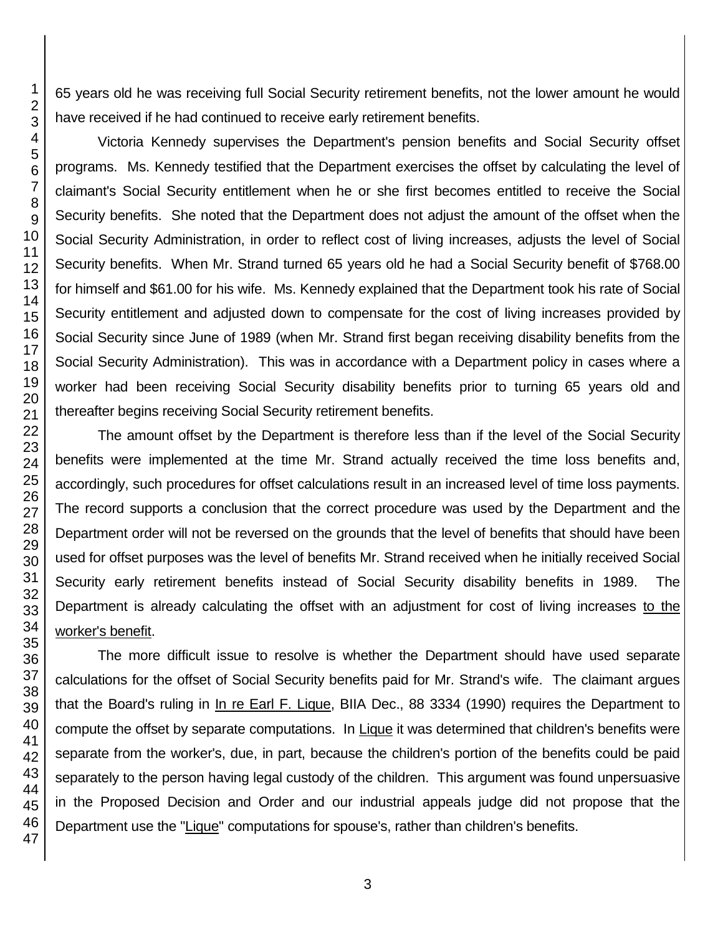65 years old he was receiving full Social Security retirement benefits, not the lower amount he would have received if he had continued to receive early retirement benefits.

Victoria Kennedy supervises the Department's pension benefits and Social Security offset programs. Ms. Kennedy testified that the Department exercises the offset by calculating the level of claimant's Social Security entitlement when he or she first becomes entitled to receive the Social Security benefits. She noted that the Department does not adjust the amount of the offset when the Social Security Administration, in order to reflect cost of living increases, adjusts the level of Social Security benefits. When Mr. Strand turned 65 years old he had a Social Security benefit of \$768.00 for himself and \$61.00 for his wife. Ms. Kennedy explained that the Department took his rate of Social Security entitlement and adjusted down to compensate for the cost of living increases provided by Social Security since June of 1989 (when Mr. Strand first began receiving disability benefits from the Social Security Administration). This was in accordance with a Department policy in cases where a worker had been receiving Social Security disability benefits prior to turning 65 years old and thereafter begins receiving Social Security retirement benefits.

The amount offset by the Department is therefore less than if the level of the Social Security benefits were implemented at the time Mr. Strand actually received the time loss benefits and, accordingly, such procedures for offset calculations result in an increased level of time loss payments. The record supports a conclusion that the correct procedure was used by the Department and the Department order will not be reversed on the grounds that the level of benefits that should have been used for offset purposes was the level of benefits Mr. Strand received when he initially received Social Security early retirement benefits instead of Social Security disability benefits in 1989. The Department is already calculating the offset with an adjustment for cost of living increases to the worker's benefit.

The more difficult issue to resolve is whether the Department should have used separate calculations for the offset of Social Security benefits paid for Mr. Strand's wife. The claimant argues that the Board's ruling in In re Earl F. Lique, BIIA Dec., 88 3334 (1990) requires the Department to compute the offset by separate computations. In Lique it was determined that children's benefits were separate from the worker's, due, in part, because the children's portion of the benefits could be paid separately to the person having legal custody of the children. This argument was found unpersuasive in the Proposed Decision and Order and our industrial appeals judge did not propose that the Department use the "Lique" computations for spouse's, rather than children's benefits.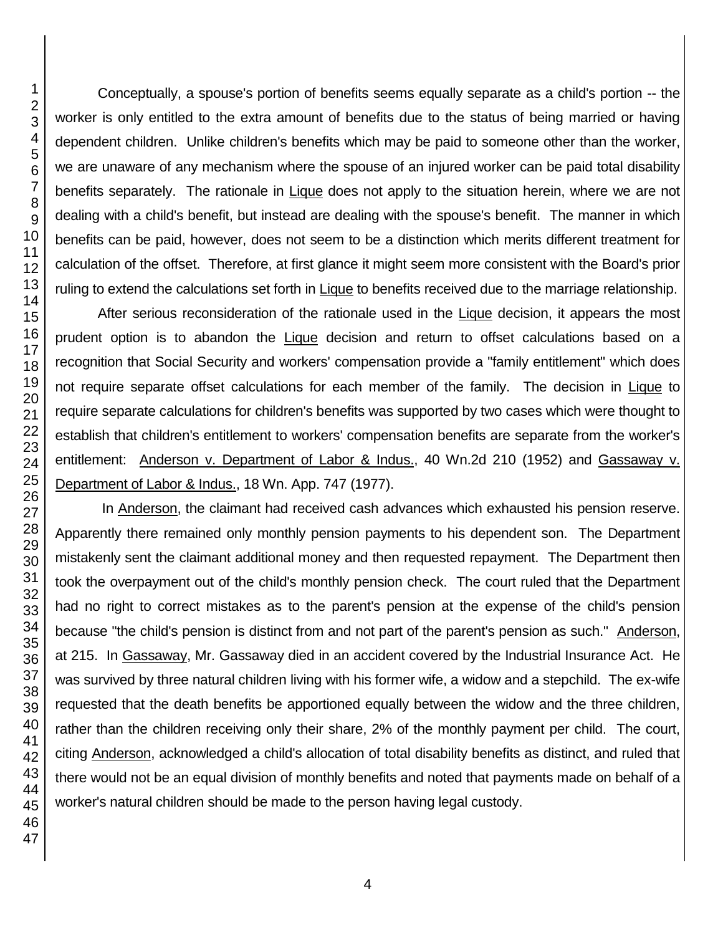Conceptually, a spouse's portion of benefits seems equally separate as a child's portion -- the worker is only entitled to the extra amount of benefits due to the status of being married or having dependent children. Unlike children's benefits which may be paid to someone other than the worker, we are unaware of any mechanism where the spouse of an injured worker can be paid total disability benefits separately. The rationale in Lique does not apply to the situation herein, where we are not dealing with a child's benefit, but instead are dealing with the spouse's benefit. The manner in which benefits can be paid, however, does not seem to be a distinction which merits different treatment for calculation of the offset. Therefore, at first glance it might seem more consistent with the Board's prior ruling to extend the calculations set forth in Lique to benefits received due to the marriage relationship.

After serious reconsideration of the rationale used in the Lique decision, it appears the most prudent option is to abandon the Lique decision and return to offset calculations based on a recognition that Social Security and workers' compensation provide a "family entitlement" which does not require separate offset calculations for each member of the family. The decision in Lique to require separate calculations for children's benefits was supported by two cases which were thought to establish that children's entitlement to workers' compensation benefits are separate from the worker's entitlement: Anderson v. Department of Labor & Indus., 40 Wn.2d 210 (1952) and Gassaway v. Department of Labor & Indus., 18 Wn. App. 747 (1977).

In Anderson, the claimant had received cash advances which exhausted his pension reserve. Apparently there remained only monthly pension payments to his dependent son. The Department mistakenly sent the claimant additional money and then requested repayment. The Department then took the overpayment out of the child's monthly pension check. The court ruled that the Department had no right to correct mistakes as to the parent's pension at the expense of the child's pension because "the child's pension is distinct from and not part of the parent's pension as such." Anderson, at 215. In Gassaway, Mr. Gassaway died in an accident covered by the Industrial Insurance Act. He was survived by three natural children living with his former wife, a widow and a stepchild. The ex-wife requested that the death benefits be apportioned equally between the widow and the three children, rather than the children receiving only their share, 2% of the monthly payment per child. The court, citing Anderson, acknowledged a child's allocation of total disability benefits as distinct, and ruled that there would not be an equal division of monthly benefits and noted that payments made on behalf of a worker's natural children should be made to the person having legal custody.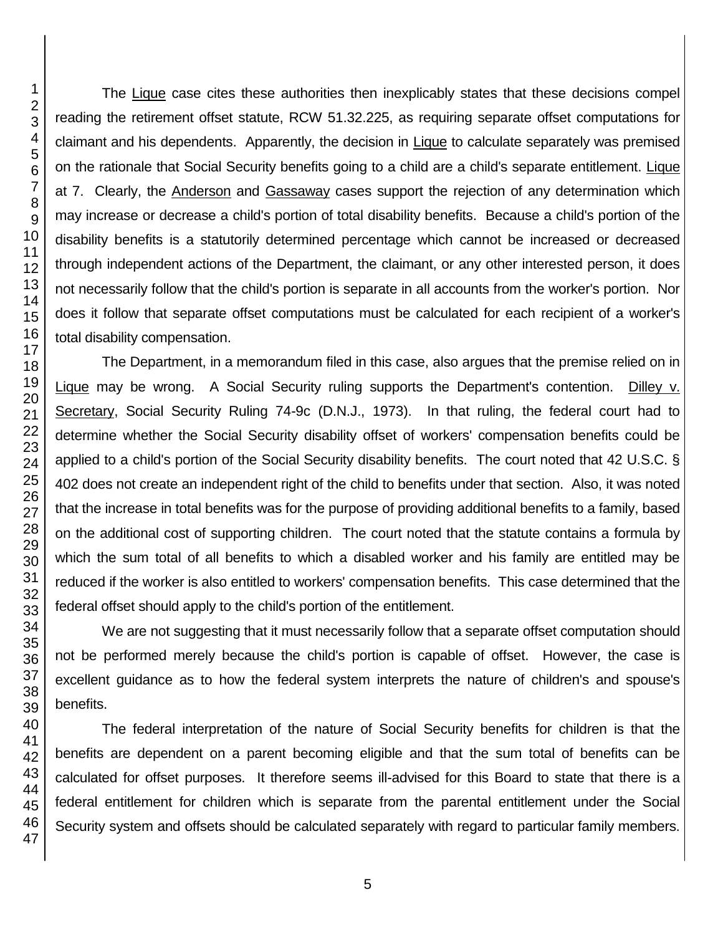The Lique case cites these authorities then inexplicably states that these decisions compel reading the retirement offset statute, RCW 51.32.225, as requiring separate offset computations for claimant and his dependents. Apparently, the decision in Lique to calculate separately was premised on the rationale that Social Security benefits going to a child are a child's separate entitlement. Lique at 7. Clearly, the Anderson and Gassaway cases support the rejection of any determination which may increase or decrease a child's portion of total disability benefits. Because a child's portion of the disability benefits is a statutorily determined percentage which cannot be increased or decreased through independent actions of the Department, the claimant, or any other interested person, it does not necessarily follow that the child's portion is separate in all accounts from the worker's portion. Nor does it follow that separate offset computations must be calculated for each recipient of a worker's total disability compensation.

The Department, in a memorandum filed in this case, also argues that the premise relied on in Lique may be wrong. A Social Security ruling supports the Department's contention. Dilley v. Secretary, Social Security Ruling 74-9c (D.N.J., 1973). In that ruling, the federal court had to determine whether the Social Security disability offset of workers' compensation benefits could be applied to a child's portion of the Social Security disability benefits. The court noted that 42 U.S.C. § 402 does not create an independent right of the child to benefits under that section. Also, it was noted that the increase in total benefits was for the purpose of providing additional benefits to a family, based on the additional cost of supporting children. The court noted that the statute contains a formula by which the sum total of all benefits to which a disabled worker and his family are entitled may be reduced if the worker is also entitled to workers' compensation benefits. This case determined that the federal offset should apply to the child's portion of the entitlement.

We are not suggesting that it must necessarily follow that a separate offset computation should not be performed merely because the child's portion is capable of offset. However, the case is excellent guidance as to how the federal system interprets the nature of children's and spouse's benefits.

The federal interpretation of the nature of Social Security benefits for children is that the benefits are dependent on a parent becoming eligible and that the sum total of benefits can be calculated for offset purposes. It therefore seems ill-advised for this Board to state that there is a federal entitlement for children which is separate from the parental entitlement under the Social Security system and offsets should be calculated separately with regard to particular family members.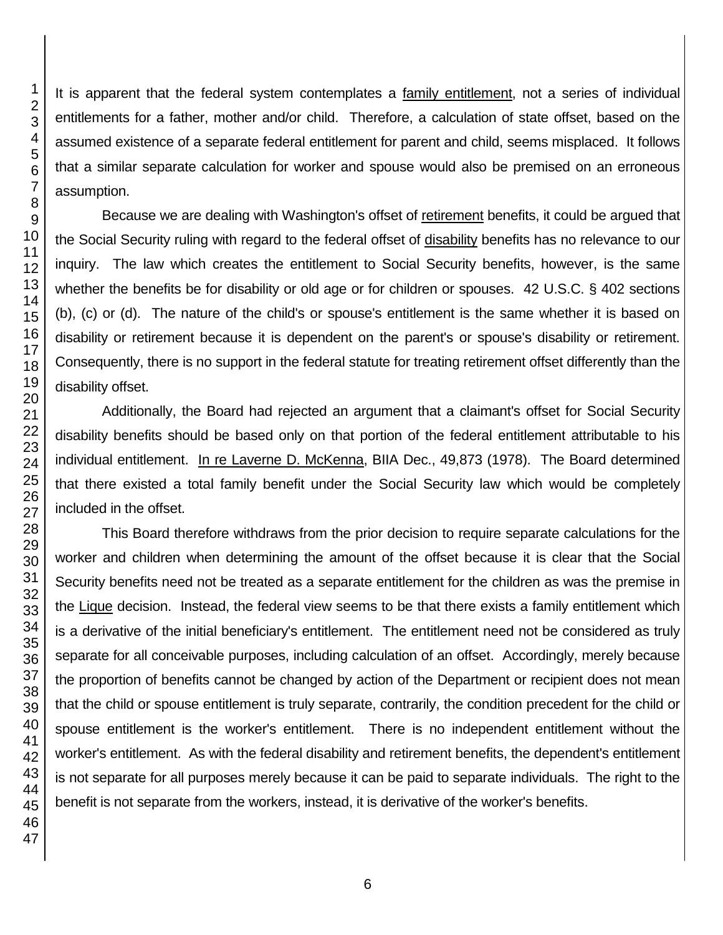It is apparent that the federal system contemplates a family entitlement, not a series of individual entitlements for a father, mother and/or child. Therefore, a calculation of state offset, based on the assumed existence of a separate federal entitlement for parent and child, seems misplaced. It follows that a similar separate calculation for worker and spouse would also be premised on an erroneous assumption.

Because we are dealing with Washington's offset of retirement benefits, it could be argued that the Social Security ruling with regard to the federal offset of disability benefits has no relevance to our inquiry. The law which creates the entitlement to Social Security benefits, however, is the same whether the benefits be for disability or old age or for children or spouses. 42 U.S.C. § 402 sections (b), (c) or (d). The nature of the child's or spouse's entitlement is the same whether it is based on disability or retirement because it is dependent on the parent's or spouse's disability or retirement. Consequently, there is no support in the federal statute for treating retirement offset differently than the disability offset.

Additionally, the Board had rejected an argument that a claimant's offset for Social Security disability benefits should be based only on that portion of the federal entitlement attributable to his individual entitlement. In re Laverne D. McKenna, BIIA Dec., 49,873 (1978). The Board determined that there existed a total family benefit under the Social Security law which would be completely included in the offset.

This Board therefore withdraws from the prior decision to require separate calculations for the worker and children when determining the amount of the offset because it is clear that the Social Security benefits need not be treated as a separate entitlement for the children as was the premise in the Lique decision. Instead, the federal view seems to be that there exists a family entitlement which is a derivative of the initial beneficiary's entitlement. The entitlement need not be considered as truly separate for all conceivable purposes, including calculation of an offset. Accordingly, merely because the proportion of benefits cannot be changed by action of the Department or recipient does not mean that the child or spouse entitlement is truly separate, contrarily, the condition precedent for the child or spouse entitlement is the worker's entitlement. There is no independent entitlement without the worker's entitlement. As with the federal disability and retirement benefits, the dependent's entitlement is not separate for all purposes merely because it can be paid to separate individuals. The right to the benefit is not separate from the workers, instead, it is derivative of the worker's benefits.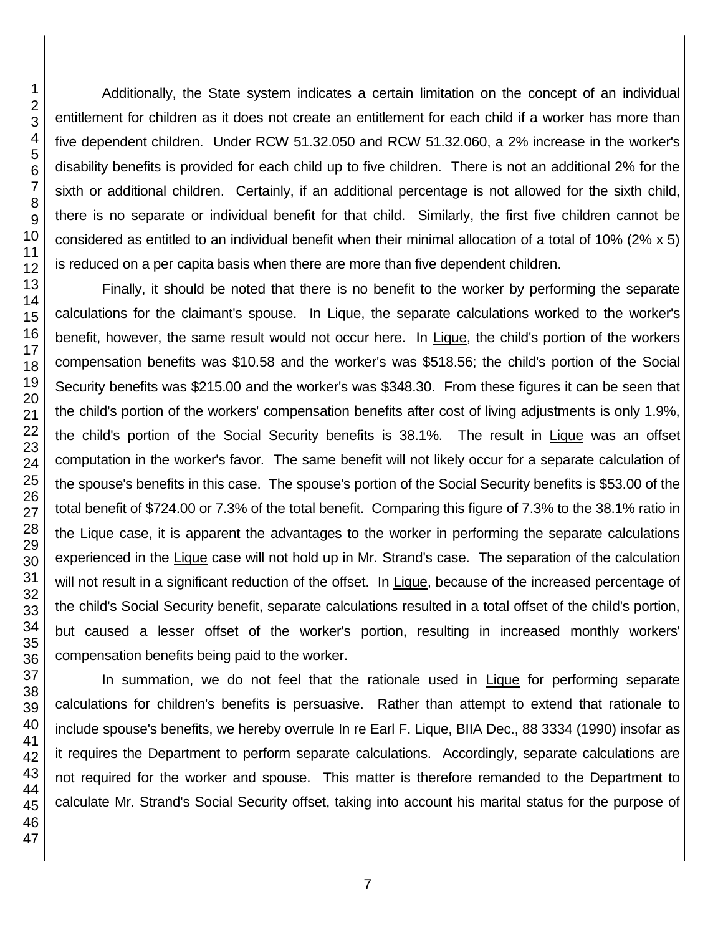Additionally, the State system indicates a certain limitation on the concept of an individual entitlement for children as it does not create an entitlement for each child if a worker has more than five dependent children. Under RCW 51.32.050 and RCW 51.32.060, a 2% increase in the worker's disability benefits is provided for each child up to five children. There is not an additional 2% for the sixth or additional children. Certainly, if an additional percentage is not allowed for the sixth child, there is no separate or individual benefit for that child. Similarly, the first five children cannot be considered as entitled to an individual benefit when their minimal allocation of a total of 10% (2% x 5) is reduced on a per capita basis when there are more than five dependent children.

Finally, it should be noted that there is no benefit to the worker by performing the separate calculations for the claimant's spouse. In Lique, the separate calculations worked to the worker's benefit, however, the same result would not occur here. In Lique, the child's portion of the workers compensation benefits was \$10.58 and the worker's was \$518.56; the child's portion of the Social Security benefits was \$215.00 and the worker's was \$348.30. From these figures it can be seen that the child's portion of the workers' compensation benefits after cost of living adjustments is only 1.9%, the child's portion of the Social Security benefits is 38.1%. The result in Lique was an offset computation in the worker's favor. The same benefit will not likely occur for a separate calculation of the spouse's benefits in this case. The spouse's portion of the Social Security benefits is \$53.00 of the total benefit of \$724.00 or 7.3% of the total benefit. Comparing this figure of 7.3% to the 38.1% ratio in the Lique case, it is apparent the advantages to the worker in performing the separate calculations experienced in the Lique case will not hold up in Mr. Strand's case. The separation of the calculation will not result in a significant reduction of the offset. In Lique, because of the increased percentage of the child's Social Security benefit, separate calculations resulted in a total offset of the child's portion, but caused a lesser offset of the worker's portion, resulting in increased monthly workers' compensation benefits being paid to the worker.

In summation, we do not feel that the rationale used in Lique for performing separate calculations for children's benefits is persuasive. Rather than attempt to extend that rationale to include spouse's benefits, we hereby overrule In re Earl F. Lique, BIIA Dec., 88 3334 (1990) insofar as it requires the Department to perform separate calculations. Accordingly, separate calculations are not required for the worker and spouse. This matter is therefore remanded to the Department to calculate Mr. Strand's Social Security offset, taking into account his marital status for the purpose of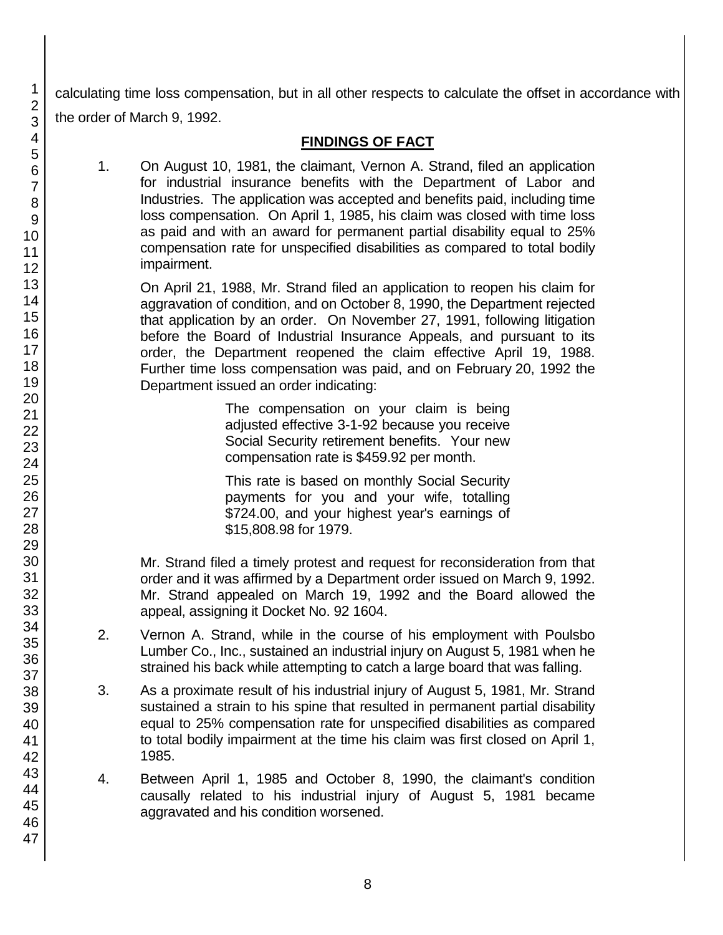calculating time loss compensation, but in all other respects to calculate the offset in accordance with the order of March 9, 1992.

## **FINDINGS OF FACT**

1. On August 10, 1981, the claimant, Vernon A. Strand, filed an application for industrial insurance benefits with the Department of Labor and Industries. The application was accepted and benefits paid, including time loss compensation. On April 1, 1985, his claim was closed with time loss as paid and with an award for permanent partial disability equal to 25% compensation rate for unspecified disabilities as compared to total bodily impairment.

On April 21, 1988, Mr. Strand filed an application to reopen his claim for aggravation of condition, and on October 8, 1990, the Department rejected that application by an order. On November 27, 1991, following litigation before the Board of Industrial Insurance Appeals, and pursuant to its order, the Department reopened the claim effective April 19, 1988. Further time loss compensation was paid, and on February 20, 1992 the Department issued an order indicating:

> The compensation on your claim is being adjusted effective 3-1-92 because you receive Social Security retirement benefits. Your new compensation rate is \$459.92 per month.

> This rate is based on monthly Social Security payments for you and your wife, totalling \$724.00, and your highest year's earnings of \$15,808.98 for 1979.

Mr. Strand filed a timely protest and request for reconsideration from that order and it was affirmed by a Department order issued on March 9, 1992. Mr. Strand appealed on March 19, 1992 and the Board allowed the appeal, assigning it Docket No. 92 1604.

- 2. Vernon A. Strand, while in the course of his employment with Poulsbo Lumber Co., Inc., sustained an industrial injury on August 5, 1981 when he strained his back while attempting to catch a large board that was falling.
- 3. As a proximate result of his industrial injury of August 5, 1981, Mr. Strand sustained a strain to his spine that resulted in permanent partial disability equal to 25% compensation rate for unspecified disabilities as compared to total bodily impairment at the time his claim was first closed on April 1, 1985.
- 4. Between April 1, 1985 and October 8, 1990, the claimant's condition causally related to his industrial injury of August 5, 1981 became aggravated and his condition worsened.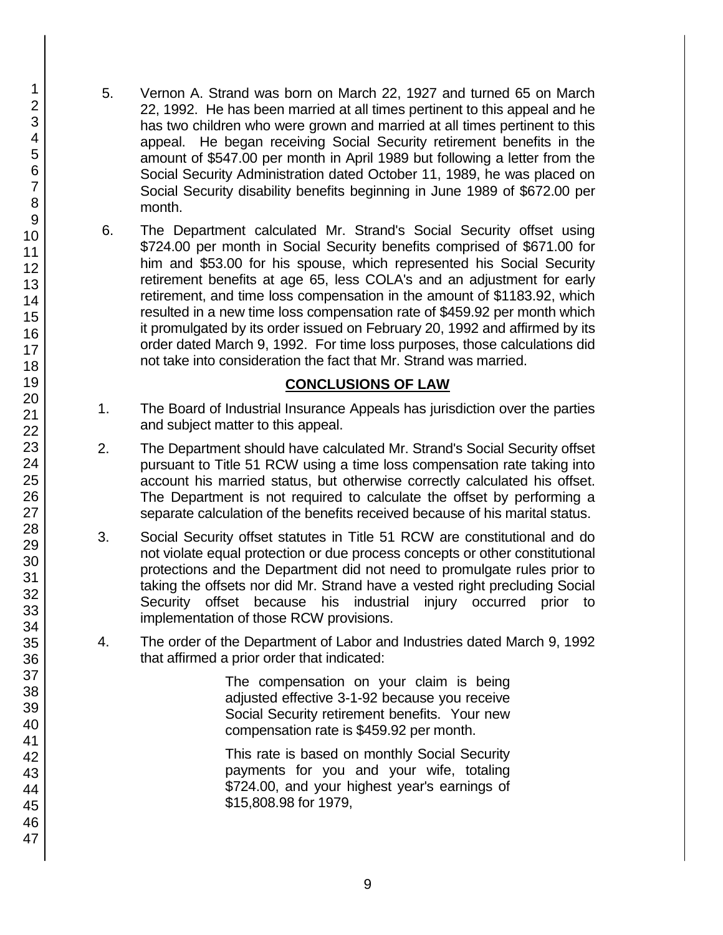- 5. Vernon A. Strand was born on March 22, 1927 and turned 65 on March 22, 1992. He has been married at all times pertinent to this appeal and he has two children who were grown and married at all times pertinent to this appeal. He began receiving Social Security retirement benefits in the amount of \$547.00 per month in April 1989 but following a letter from the Social Security Administration dated October 11, 1989, he was placed on Social Security disability benefits beginning in June 1989 of \$672.00 per month.
- 6. The Department calculated Mr. Strand's Social Security offset using \$724.00 per month in Social Security benefits comprised of \$671.00 for him and \$53.00 for his spouse, which represented his Social Security retirement benefits at age 65, less COLA's and an adjustment for early retirement, and time loss compensation in the amount of \$1183.92, which resulted in a new time loss compensation rate of \$459.92 per month which it promulgated by its order issued on February 20, 1992 and affirmed by its order dated March 9, 1992. For time loss purposes, those calculations did not take into consideration the fact that Mr. Strand was married.

## **CONCLUSIONS OF LAW**

- 1. The Board of Industrial Insurance Appeals has jurisdiction over the parties and subject matter to this appeal.
- 2. The Department should have calculated Mr. Strand's Social Security offset pursuant to Title 51 RCW using a time loss compensation rate taking into account his married status, but otherwise correctly calculated his offset. The Department is not required to calculate the offset by performing a separate calculation of the benefits received because of his marital status.
- 3. Social Security offset statutes in Title 51 RCW are constitutional and do not violate equal protection or due process concepts or other constitutional protections and the Department did not need to promulgate rules prior to taking the offsets nor did Mr. Strand have a vested right precluding Social Security offset because his industrial injury occurred prior to implementation of those RCW provisions.
- 4. The order of the Department of Labor and Industries dated March 9, 1992 that affirmed a prior order that indicated:

The compensation on your claim is being adjusted effective 3-1-92 because you receive Social Security retirement benefits. Your new compensation rate is \$459.92 per month.

This rate is based on monthly Social Security payments for you and your wife, totaling \$724.00, and your highest year's earnings of \$15,808.98 for 1979,